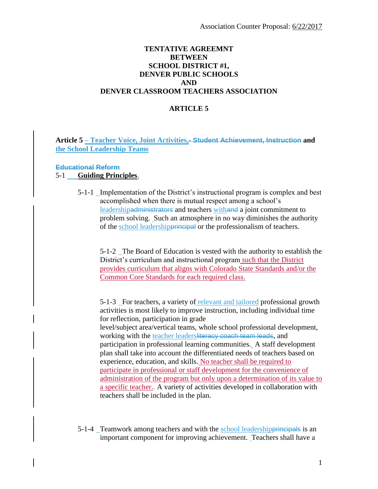### **TENTATIVE AGREEMNT BETWEEN SCHOOL DISTRICT #1, DENVER PUBLIC SCHOOLS AND DENVER CLASSROOM TEACHERS ASSOCIATION**

### **ARTICLE 5**

**Article 5 – Teacher Voice, Joint Activities,- Student Achievement, Instruction and the School Leadership Teams**

#### **Educational Reform**

### 5-1 **Guiding Principles.**

5-1-1 Implementation of the District's instructional program is complex and best accomplished when there is mutual respect among a school's leadershipadministrators and teachers withand a joint commitment to problem solving. Such an atmosphere in no way diminishes the authority of the school leadershipprincipal or the professionalism of teachers.

5-1-2 The Board of Education is vested with the authority to establish the District's curriculum and instructional program such that the District provides curriculum that aligns with Colorado State Standards and/or the Common Core Standards for each required class.

5-1-3 For teachers, a variety of relevant and tailored professional growth activities is most likely to improve instruction, including individual time for reflection, participation in grade level/subject area/vertical teams, whole school professional development, working with the teacher leadersliteracy coach team leads, and participation in professional learning communities. A staff development plan shall take into account the differentiated needs of teachers based on experience, education, and skills. No teacher shall be required to participate in professional or staff development for the convenience of administration of the program but only upon a determination of its value to a specific teacher.. A variety of activities developed in collaboration with teachers shall be included in the plan.

5-1-4 Teamwork among teachers and with the school leadershipprincipals is an important component for improving achievement. Teachers shall have a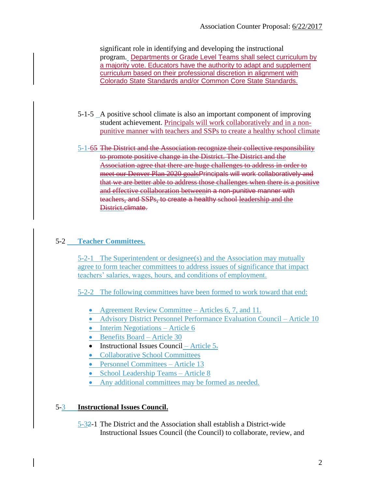significant role in identifying and developing the instructional program. Departments or Grade Level Teams shall select curriculum by a majority vote. Educators have the authority to adapt and supplement curriculum based on their professional discretion in alignment with Colorado State Standards and/or Common Core State Standards.

- 5-1-5 A positive school climate is also an important component of improving student achievement. Principals will work collaboratively and in a nonpunitive manner with teachers and SSPs to create a healthy school climate
- 5-1-65 The District and the Association recognize their collective responsibility to promote positive change in the District. The District and the Association agree that there are huge challenges to address in order to meet our Denver Plan 2020 goalsPrincipals will work collaboratively and that we are better able to address those challenges when there is a positive and effective collaboration betweenin a non-punitive manner with teachers, and SSPs, to create a healthy school leadership and the District.climate.

# 5-2 **Teacher Committees.**

5-2-1 The Superintendent or designee(s) and the Association may mutually agree to form teacher committees to address issues of significance that impact teachers' salaries, wages, hours, and conditions of employment.

5-2-2 The following committees have been formed to work toward that end:

- Agreement Review Committee Articles 6, 7, and 11.
- Advisory District Personnel Performance Evaluation Council Article 10
- $\bullet$  Interim Negotiations Article 6
- Benefits Board Article 30
- Instructional Issues Council Article  $5\overline{.}$
- Collaborative School Committees
- Personnel Committees Article 13
- School Leadership Teams Article 8
- Any additional committees may be formed as needed.

# 5-3 **Instructional Issues Council.**

5-32-1 The District and the Association shall establish a District-wide Instructional Issues Council (the Council) to collaborate, review, and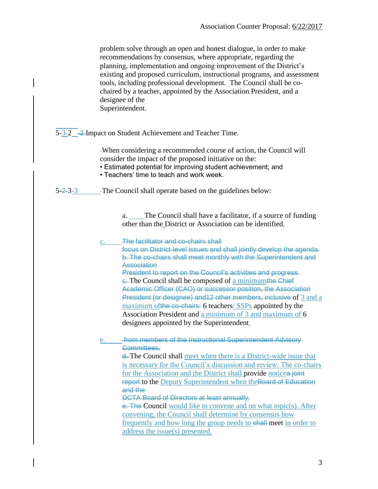problem solve through an open and honest dialogue, in order to make recommendations by consensus, where appropriate, regarding the planning, implementation and ongoing improvement of the District's existing and proposed curriculum, instructional programs, and assessment tools, including professional development. The Council shall be cochaired by a teacher, appointed by the Association President, and a designee of the Superintendent. 5-3-2 -2 Impact on Student Achievement and Teacher Time. When considering a recommended course of action, the Council will consider the impact of the proposed initiative on the: • Estimated potential for improving student achievement; and • Teachers' time to teach and work week. 5-2-3-3 The Council shall operate based on the guidelines below: a. The Council shall have a facilitator, if a source of funding other than the District or Association can be identified. c. The facilitator and co-chairs shall focus on District-level issues and shall jointly develop the agenda. b. The co-chairs shall meet monthly with the Superintendent and Association President to report on the Council's activities and progress. e. The Council shall be composed of a minimumthe Chief Academic Officer (CAO) or successor position, the Association President (or designee) and12 other members, inclusive of 3 and a maximum of the co-chairs: 6 teachers/ SSPs appointed by the Association President and a minimum of 3 and maximum of 6 designees appointed by the Superintendent. e. **from members of the Instructional Superintendent Advisory** Committees. d. The Council shall meet when there is a District-wide issue that is necessary for the Council's discussion and review. The co-chairs for the Association and the District shall provide noticea joint report to the Deputy Superintendent when the Board of Education and the DCTA Board of Directors at least annually. e. The Council would like to convene and on what topic(s). After convening, the Council shall determine by consensus how frequently and how long the group needs to shall-meet in order to address the issue(s) presented.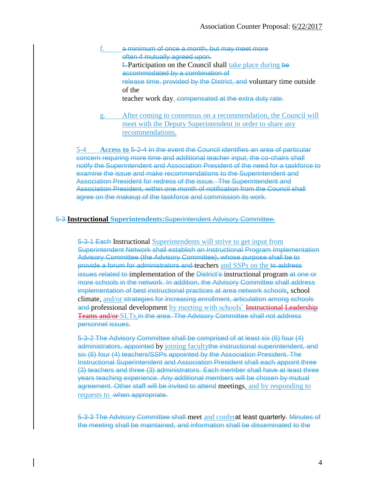- a minimum of once a month, but may meet more often if mutually agreed upon. f. Participation on the Council shall take place during be accommodated by a combination of release time, provided by the District, and voluntary time outside of the teacher work day. compensated at the extra duty rate.
- g. After coming to consensus on a recommendation, the Council will meet with the Deputy Superintendent in order to share any recommendations.

5-4 **Access to** 5-2-4 In the event the Council identifies an area of particular concern requiring more time and additional teacher input, the co-chairs shall notify the Superintendent and Association President of the need for a taskforce to examine the issue and make recommendations to the Superintendent and Association President for redress of the issue. The Superintendent and Association President, within one month of notification from the Council shall agree on the makeup of the taskforce and commission its work.

### 5-3 **Instructional Superintendents:**Superintendent Advisory Committee.

5-3-1 Each Instructional Superintendents will strive to get input from Superintendent Network shall establish an Instructional Program Implementation Advisory Committee (the Advisory Committee), whose purpose shall be to provide a forum for administrators and teachers and SSPs on the to address issues related to implementation of the District's instructional program at one or more schools in the network. In addition, the Advisory Committee shall address implementation of best instructional practices at area network schools, school climate, and/or strategies for increasing enrollment, articulation among schools and professional development by meeting with schools' Instructional Leadership Teams and/or SLTs,in the area. The Advisory Committee shall not address personnel issues.

5-3-2 The Advisory Committee shall be comprised of at least six (6) four (4) administrators, appointed by joining facultythe instructional superintendent, and six (6) four (4) teachers/SSPs appointed by the Association President. The Instructional Superintendent and Association President shall each appoint three (3) teachers and three (3) administrators. Each member shall have at least three years teaching experience. Any additional members will be chosen by mutual agreement. Other staff will be invited to attend meetings, and by responding to requests to -when appropriate.

5-3-3 The Advisory Committee shall meet and conferat least quarterly. Minutes of the meeting shall be maintained, and information shall be disseminated to the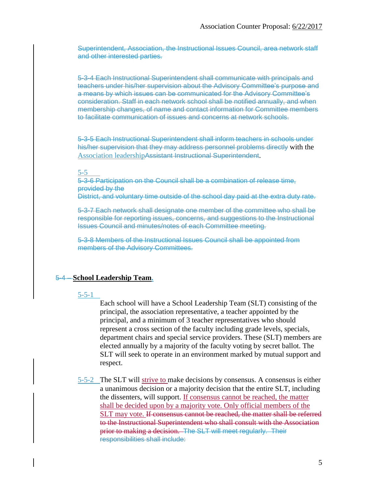Superintendent, Association, the Instructional Issues Council, area network staff and other interested parties.

5-3-4 Each Instructional Superintendent shall communicate with principals and teachers under his/her supervision about the Advisory Committee's purpose and a means by which issues can be communicated for the Advisory Committee's consideration. Staff in each network school shall be notified annually, and when membership changes, of name and contact information for Committee members to facilitate communication of issues and concerns at network schools.

5-3-5 Each Instructional Superintendent shall inform teachers in schools under his/her supervision that they may address personnel problems directly with the Association leadershipAssistant Instructional Superintendent.

#### 5-5

5-3-6 Participation on the Council shall be a combination of release time, provided by the District, and voluntary time outside of the school day paid at the extra duty rate.

5-3-7 Each network shall designate one member of the committee who shall be responsible for reporting issues, concerns, and suggestions to the Instructional Issues Council and minutes/notes of each Committee meeting.

5-3-8 Members of the Instructional Issues Council shall be appointed from members of the Advisory Committees.

#### 5-4 – **School Leadership Team.**

#### 5-5-1

Each school will have a School Leadership Team (SLT) consisting of the principal, the association representative, a teacher appointed by the principal, and a minimum of 3 teacher representatives who should represent a cross section of the faculty including grade levels, specials, department chairs and special service providers. These (SLT) members are elected annually by a majority of the faculty voting by secret ballot. The SLT will seek to operate in an environment marked by mutual support and respect.

5-5-2 The SLT will strive to make decisions by consensus. A consensus is either a unanimous decision or a majority decision that the entire SLT, including the dissenters, will support. If consensus cannot be reached, the matter shall be decided upon by a majority vote. Only official members of the SLT may vote. If consensus cannot be reached, the matter shall be referred to the Instructional Superintendent who shall consult with the Association prior to making a decision.The SLT will meet regularly. Their responsibilities shall include: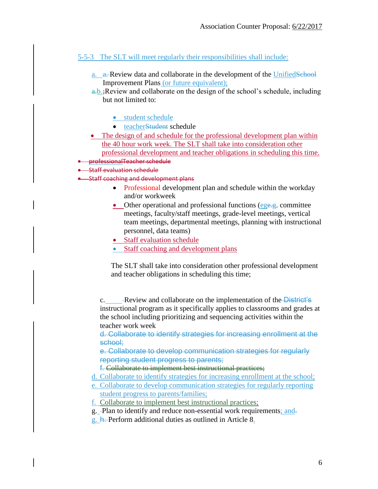## 5-5-3 The SLT will meet regularly their responsibilities shall include:

- a. a. Review data and collaborate in the development of the UnifiedSchool Improvement Plans (or future equivalent);
- $a,b.$ ; Review and collaborate on the design of the school's schedule, including but not limited to:
	- **•** student schedule
	- teacherStudent schedule
- The design of and schedule for the professional development plan within the 40 hour work week. The SLT shall take into consideration other professional development and teacher obligations in scheduling this time.
- professionalTeacher schedule
- Staff evaluation schedule
- **•** Staff coaching and development plans
	- Professional development plan and schedule within the workday and/or workweek
	- Other operational and professional functions (ege.g. committee meetings, faculty/staff meetings, grade-level meetings, vertical team meetings, departmental meetings, planning with instructional personnel, data teams)
	- Staff evaluation schedule
	- Staff coaching and development plans

The SLT shall take into consideration other professional development and teacher obligations in scheduling this time;

c. Review and collaborate on the implementation of the District's instructional program as it specifically applies to classrooms and grades at the school including prioritizing and sequencing activities within the teacher work week

d. Collaborate to identify strategies for increasing enrollment at the school;

e. Collaborate to develop communication strategies for regularly reporting student progress to parents;

f. Collaborate to implement best instructional practices;

- d. Collaborate to identify strategies for increasing enrollment at the school;
- e. Collaborate to develop communication strategies for regularly reporting student progress to parents/families;
- f. Collaborate to implement best instructional practices;
- g. -Plan to identify and reduce non-essential work requirements; and-
- g. h. Perform additional duties as outlined in Article 8.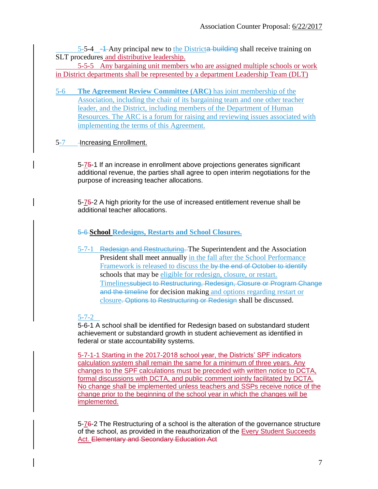$5-5-4$   $-4$  Any principal new to the Districta building shall receive training on SLT procedures and distributive leadership.

5-5-5 Any bargaining unit members who are assigned multiple schools or work in District departments shall be represented by a department Leadership Team (DLT)

5-6 **The Agreement Review Committee (ARC)** has joint membership of the Association, including the chair of its bargaining team and one other teacher leader, and the District, including members of the Department of Human Resources. The ARC is a forum for raising and reviewing issues associated with implementing the terms of this Agreement.

## 5-7 - Increasing Enrollment.

5-75-1 If an increase in enrollment above projections generates significant additional revenue, the parties shall agree to open interim negotiations for the purpose of increasing teacher allocations.

5-75-2 A high priority for the use of increased entitlement revenue shall be additional teacher allocations.

## 5-6 **School Redesigns, Restarts and School Closures.**

5-7-1 Redesign and Restructuring. The Superintendent and the Association President shall meet annually in the fall after the School Performance Framework is released to discuss the by the end of October to identify schools that may be eligible for redesign, closure, or restart. Timelinessubject to Restructuring, Redesign, Closure or Program Change and the timeline for decision making and options regarding restart or closure. Options to Restructuring or Redesign shall be discussed.

### 5-7-2

5-6-1 A school shall be identified for Redesign based on substandard student achievement or substandard growth in student achievement as identified in federal or state accountability systems.

5-7-1-1 Starting in the 2017-2018 school year, the Districts' SPF indicators calculation system shall remain the same for a minimum of three years. Any changes to the SPF calculations must be preceded with written notice to DCTA, formal discussions with DCTA, and public comment jointly facilitated by DCTA. No change shall be implemented unless teachers and SSPs receive notice of the change prior to the beginning of the school year in which the changes will be implemented.

5-76-2 The Restructuring of a school is the alteration of the governance structure of the school, as provided in the reauthorization of the Every Student Succeeds Act. Elementary and Secondary Education Act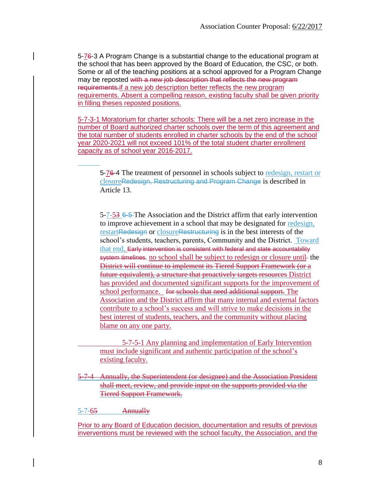5-76-3 A Program Change is a substantial change to the educational program at the school that has been approved by the Board of Education, the CSC, or both. Some or all of the teaching positions at a school approved for a Program Change may be reposted with a new job description that reflects the new program requirements.if a new job description better reflects the new program requirements. Absent a compelling reason, existing faculty shall be given priority in filling theses reposted positions.

5-7-3-1 Moratorium for charter schools: There will be a net zero increase in the number of Board authorized charter schools over the term of this agreement and the total number of students enrolled in charter schools by the end of the school year 2020-2021 will not exceed 101% of the total student charter enrollment capacity as of school year 2016-2017.

5-76-4 The treatment of personnel in schools subject to redesign, restart or closureRedesign, Restructuring and Program Change is described in Article 13.

5-7-53 6-5 The Association and the District affirm that early intervention to improve achievement in a school that may be designated for redesign, restartRedesign or closureRestructuring is in the best interests of the school's students, teachers, parents, Community and the District. Toward that end, Early intervention is consistent with federal and state accountability system timelines. no school shall be subject to redesign or closure until- the District will continue to implement its Tiered Support Framework (or a future equivalent), a structure that proactively targets resources District has provided and documented significant supports for the improvement of school performance. for schools that need additional support. The Association and the District affirm that many internal and external factors contribute to a school's success and will strive to make decisions in the best interest of students, teachers, and the community without placing blame on any one party.

5-7-5-1 Any planning and implementation of Early Intervention must include significant and authentic participation of the school's existing faculty.

5-7-4 Annually, the Superintendent (or designee) and the Association President shall meet, review, and provide input on the supports provided via the Tiered Support Framework.

5-7-65 Annually

Prior to any Board of Education decision, documentation and results of previous inverventions must be reviewed with the school faculty, the Association, and the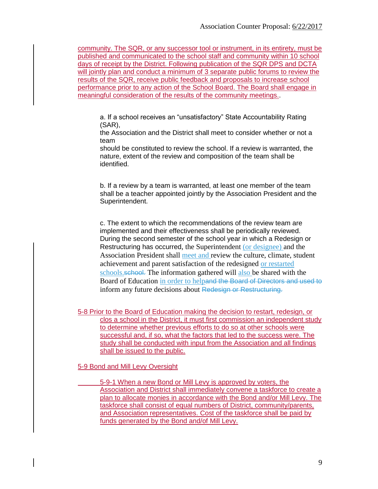community. The SQR, or any successor tool or instrument, in its entirety, must be published and communicated to the school staff and community within 10 school days of receipt by the District. Following publication of the SQR DPS and DCTA will jointly plan and conduct a minimum of 3 separate public forums to review the results of the SQR, receive public feedback and proposals to increase school performance prior to any action of the School Board. The Board shall engage in meaningful consideration of the results of the community meetings..

a. If a school receives an "unsatisfactory" State Accountability Rating (SAR),

the Association and the District shall meet to consider whether or not a team

should be constituted to review the school. If a review is warranted, the nature, extent of the review and composition of the team shall be identified.

b. If a review by a team is warranted, at least one member of the team shall be a teacher appointed jointly by the Association President and the Superintendent.

c. The extent to which the recommendations of the review team are implemented and their effectiveness shall be periodically reviewed. During the second semester of the school year in which a Redesign or Restructuring has occurred, the Superintendent (or designee) and the Association President shall meet and review the culture, climate, student achievement and parent satisfaction of the redesigned or restarted schools.school. The information gathered will also be shared with the Board of Education in order to helpand the Board of Directors and used to inform any future decisions about Redesign or Restructuring.

5-8 Prior to the Board of Education making the decision to restart, redesign, or clos a school in the District, it must first commission an independent study to determine whether previous efforts to do so at other schools were successful and, if so, what the factors that led to the success were. The study shall be conducted with input from the Association and all findings shall be issued to the public.

5-9 Bond and Mill Levy Oversight

5-9-1 When a new Bond or Mill Levy is approved by voters, the Association and District shall immediately convene a taskforce to create a plan to allocate monies in accordance with the Bond and/or Mill Levy. The taskforce shall consist of equal numbers of District, community/parents, and Association representatives. Cost of the taskforce shall be paid by funds generated by the Bond and/of Mill Levy.